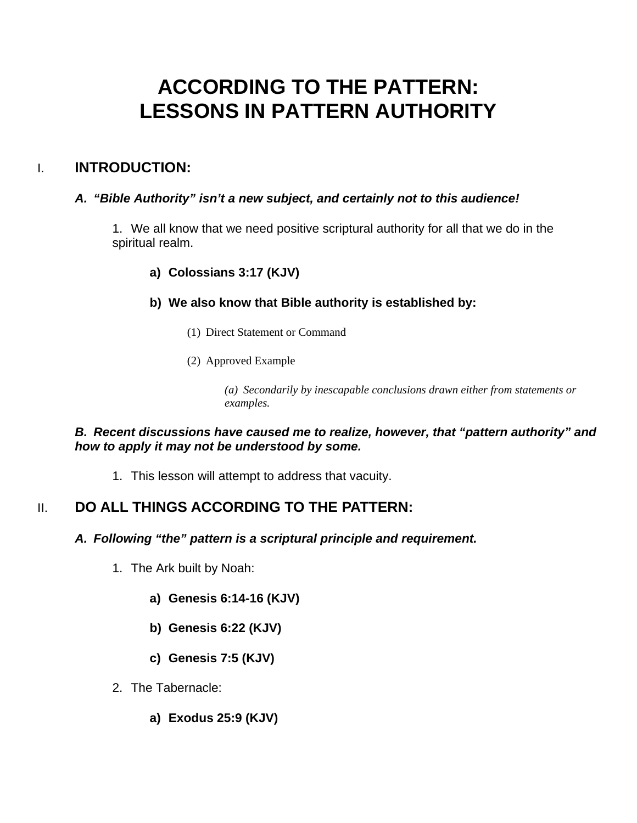# **ACCORDING TO THE PATTERN: LESSONS IN PATTERN AUTHORITY**

# I. **INTRODUCTION:**

## *A. "Bible Authority" isn't a new subject, and certainly not to this audience!*

1. We all know that we need positive scriptural authority for all that we do in the spiritual realm.

## **a) Colossians 3:17 (KJV)**

## **b) We also know that Bible authority is established by:**

- (1) Direct Statement or Command
- (2) Approved Example

*(a) Secondarily by inescapable conclusions drawn either from statements or examples.* 

## *B. Recent discussions have caused me to realize, however, that "pattern authority" and how to apply it may not be understood by some.*

1. This lesson will attempt to address that vacuity.

# II. **DO ALL THINGS ACCORDING TO THE PATTERN:**

## *A. Following "the" pattern is a scriptural principle and requirement.*

- 1. The Ark built by Noah:
	- **a) Genesis 6:14-16 (KJV)**
	- **b) Genesis 6:22 (KJV)**
	- **c) Genesis 7:5 (KJV)**
- 2. The Tabernacle:
	- **a) Exodus 25:9 (KJV)**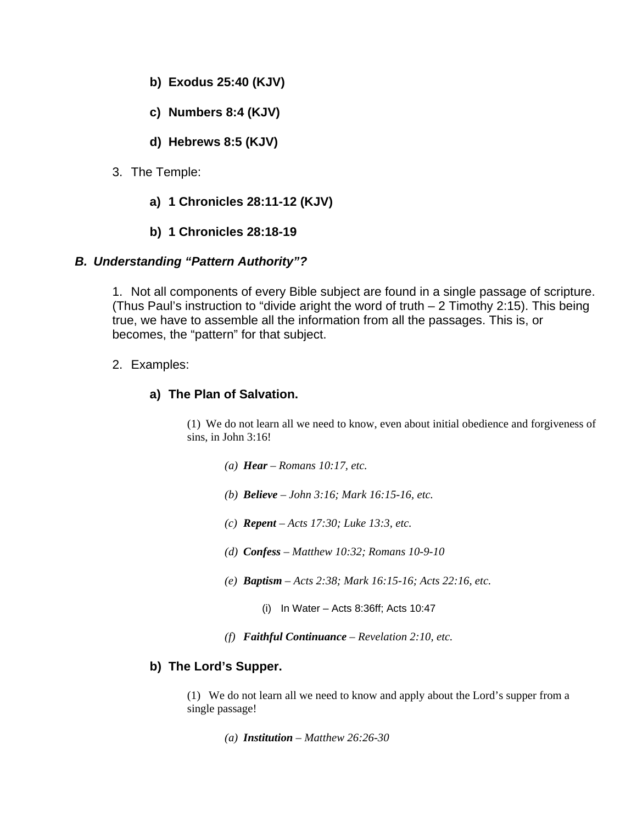- **b) Exodus 25:40 (KJV)**
- **c) Numbers 8:4 (KJV)**
- **d) Hebrews 8:5 (KJV)**
- 3. The Temple:
	- **a) 1 Chronicles 28:11-12 (KJV)**
	- **b) 1 Chronicles 28:18-19**

#### *B. Understanding "Pattern Authority"?*

1. Not all components of every Bible subject are found in a single passage of scripture. (Thus Paul's instruction to "divide aright the word of truth – 2 Timothy 2:15). This being true, we have to assemble all the information from all the passages. This is, or becomes, the "pattern" for that subject.

#### 2. Examples:

## **a) The Plan of Salvation.**

(1) We do not learn all we need to know, even about initial obedience and forgiveness of sins, in John 3:16!

- *(a) Hear Romans 10:17, etc.*
- *(b) Believe John 3:16; Mark 16:15-16, etc.*
- *(c) Repent Acts 17:30; Luke 13:3, etc.*
- *(d) Confess Matthew 10:32; Romans 10-9-10*
- *(e) Baptism Acts 2:38; Mark 16:15-16; Acts 22:16, etc.* 
	- (i) In Water Acts 8:36ff; Acts 10:47
- *(f) Faithful Continuance Revelation 2:10, etc.*

#### **b) The Lord's Supper.**

(1) We do not learn all we need to know and apply about the Lord's supper from a single passage!

*(a) Institution – Matthew 26:26-30*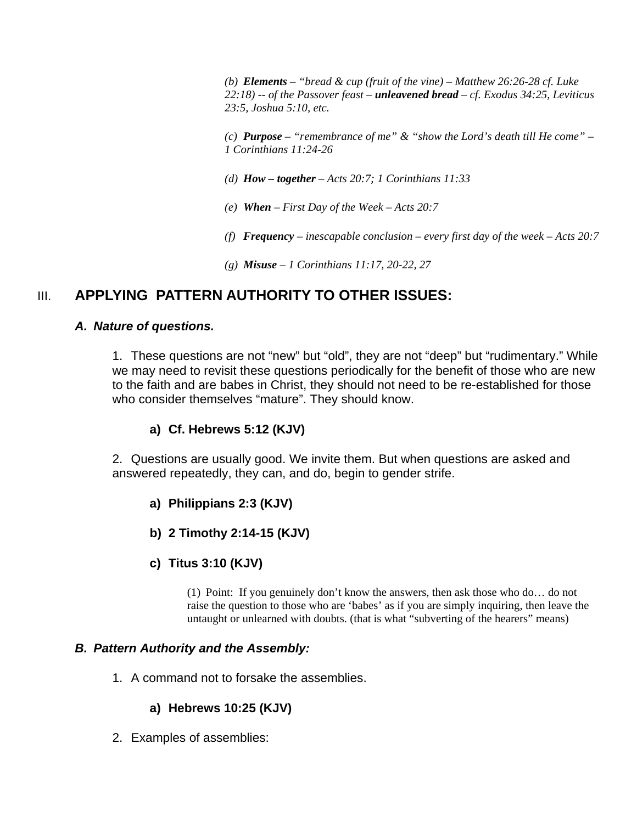*(b) Elements – "bread & cup (fruit of the vine) – Matthew 26:26-28 cf. Luke 22:18) -- of the Passover feast – unleavened bread – cf. Exodus 34:25, Leviticus 23:5, Joshua 5:10, etc.* 

*(c) Purpose – "remembrance of me" & "show the Lord's death till He come" – 1 Corinthians 11:24-26* 

- *(d) How together Acts 20:7; 1 Corinthians 11:33*
- *(e) When First Day of the Week Acts 20:7*
- *(f) Frequency inescapable conclusion every first day of the week Acts 20:7*
- *(g) Misuse 1 Corinthians 11:17, 20-22, 27*

## III. **APPLYING PATTERN AUTHORITY TO OTHER ISSUES:**

#### *A. Nature of questions.*

1. These questions are not "new" but "old", they are not "deep" but "rudimentary." While we may need to revisit these questions periodically for the benefit of those who are new to the faith and are babes in Christ, they should not need to be re-established for those who consider themselves "mature". They should know.

#### **a) Cf. Hebrews 5:12 (KJV)**

2. Questions are usually good. We invite them. But when questions are asked and answered repeatedly, they can, and do, begin to gender strife.

- **a) Philippians 2:3 (KJV)**
- **b) 2 Timothy 2:14-15 (KJV)**
- **c) Titus 3:10 (KJV)**

(1) Point: If you genuinely don't know the answers, then ask those who do… do not raise the question to those who are 'babes' as if you are simply inquiring, then leave the untaught or unlearned with doubts. (that is what "subverting of the hearers" means)

#### *B. Pattern Authority and the Assembly:*

1. A command not to forsake the assemblies.

#### **a) Hebrews 10:25 (KJV)**

2. Examples of assemblies: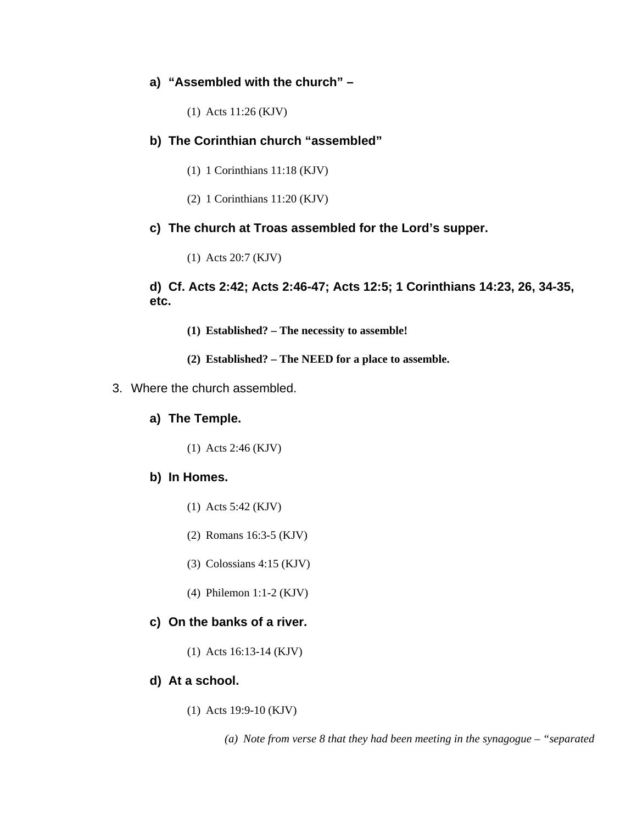#### **a) "Assembled with the church" –**

(1) Acts 11:26 (KJV)

#### **b) The Corinthian church "assembled"**

- (1) 1 Corinthians 11:18 (KJV)
- (2) 1 Corinthians 11:20 (KJV)

#### **c) The church at Troas assembled for the Lord's supper.**

(1) Acts 20:7 (KJV)

#### **d) Cf. Acts 2:42; Acts 2:46-47; Acts 12:5; 1 Corinthians 14:23, 26, 34-35, etc.**

- **(1) Established? The necessity to assemble!**
- **(2) Established? The NEED for a place to assemble.**
- 3. Where the church assembled.

#### **a) The Temple.**

(1) Acts 2:46 (KJV)

#### **b) In Homes.**

- (1) Acts 5:42 (KJV)
- (2) Romans 16:3-5 (KJV)
- (3) Colossians 4:15 (KJV)
- (4) Philemon 1:1-2 (KJV)

#### **c) On the banks of a river.**

(1) Acts 16:13-14 (KJV)

#### **d) At a school.**

(1) Acts 19:9-10 (KJV)

*(a) Note from verse 8 that they had been meeting in the synagogue – "separated*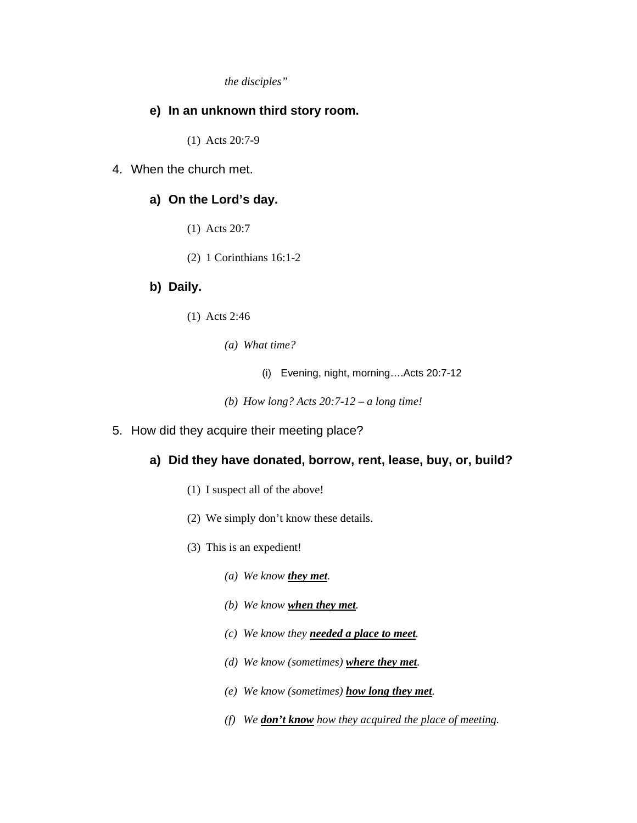*the disciples"* 

#### **e) In an unknown third story room.**

(1) Acts 20:7-9

4. When the church met.

### **a) On the Lord's day.**

- (1) Acts 20:7
- (2) 1 Corinthians 16:1-2

#### **b) Daily.**

- (1) Acts 2:46
	- *(a) What time?* 
		- (i) Evening, night, morning….Acts 20:7-12
	- *(b) How long? Acts 20:7-12 a long time!*
- 5. How did they acquire their meeting place?

#### **a) Did they have donated, borrow, rent, lease, buy, or, build?**

- (1) I suspect all of the above!
- (2) We simply don't know these details.
- (3) This is an expedient!
	- *(a) We know they met.*
	- *(b) We know when they met.*
	- *(c) We know they needed a place to meet.*
	- *(d) We know (sometimes) where they met.*
	- *(e) We know (sometimes) how long they met.*
	- *(f) We don't know how they acquired the place of meeting.*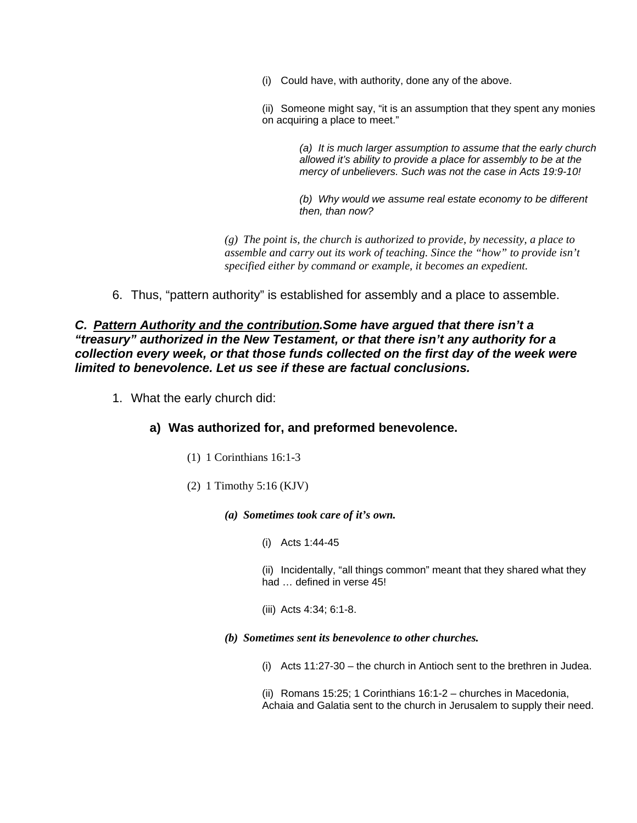(i) Could have, with authority, done any of the above.

(ii) Someone might say, "it is an assumption that they spent any monies on acquiring a place to meet."

> *(a) It is much larger assumption to assume that the early church allowed it's ability to provide a place for assembly to be at the mercy of unbelievers. Such was not the case in Acts 19:9-10!*

*(b) Why would we assume real estate economy to be different then, than now?* 

*(g) The point is, the church is authorized to provide, by necessity, a place to assemble and carry out its work of teaching. Since the "how" to provide isn't specified either by command or example, it becomes an expedient.* 

6. Thus, "pattern authority" is established for assembly and a place to assemble.

*C. Pattern Authority and the contribution.Some have argued that there isn't a "treasury" authorized in the New Testament, or that there isn't any authority for a collection every week, or that those funds collected on the first day of the week were limited to benevolence. Let us see if these are factual conclusions.* 

1. What the early church did:

#### **a) Was authorized for, and preformed benevolence.**

- (1) 1 Corinthians 16:1-3
- (2) 1 Timothy 5:16 (KJV)

*(a) Sometimes took care of it's own.* 

(i) Acts 1:44-45

(ii) Incidentally, "all things common" meant that they shared what they had … defined in verse 45!

- (iii) Acts 4:34; 6:1-8.
- *(b) Sometimes sent its benevolence to other churches.* 
	- (i) Acts 11:27-30 the church in Antioch sent to the brethren in Judea.

(ii) Romans 15:25; 1 Corinthians 16:1-2 – churches in Macedonia, Achaia and Galatia sent to the church in Jerusalem to supply their need.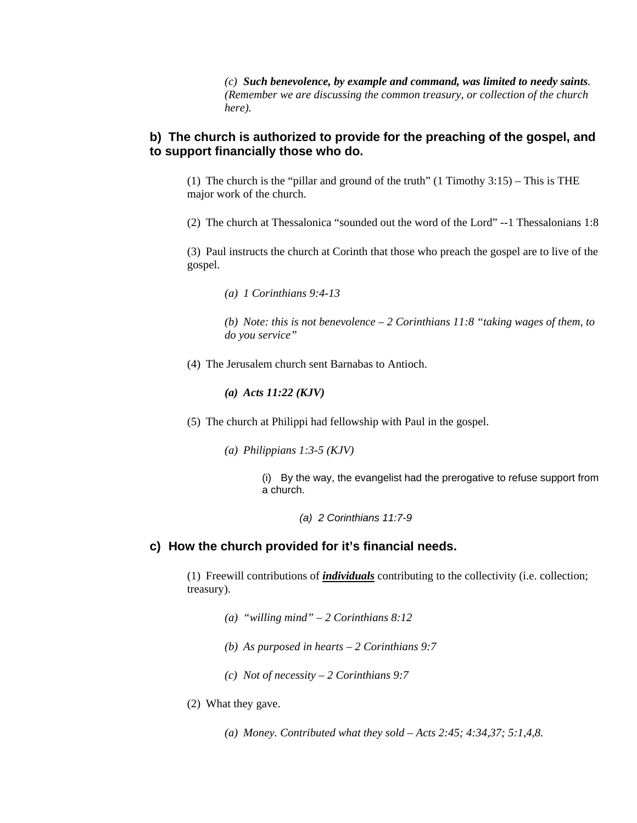*(c) Such benevolence, by example and command, was limited to needy saints. (Remember we are discussing the common treasury, or collection of the church here).* 

#### **b) The church is authorized to provide for the preaching of the gospel, and to support financially those who do.**

(1) The church is the "pillar and ground of the truth" (1 Timothy 3:15) – This is THE major work of the church.

(2) The church at Thessalonica "sounded out the word of the Lord" --1 Thessalonians 1:8

(3) Paul instructs the church at Corinth that those who preach the gospel are to live of the gospel.

*(a) 1 Corinthians 9:4-13* 

*(b) Note: this is not benevolence – 2 Corinthians 11:8 "taking wages of them, to do you service"* 

(4) The Jerusalem church sent Barnabas to Antioch.

*(a) Acts 11:22 (KJV)* 

- (5) The church at Philippi had fellowship with Paul in the gospel.
	- *(a) Philippians 1:3-5 (KJV)*

(i) By the way, the evangelist had the prerogative to refuse support from a church.

*(a) 2 Corinthians 11:7-9* 

#### **c) How the church provided for it's financial needs.**

(1) Freewill contributions of *individuals* contributing to the collectivity (i.e. collection; treasury).

- *(a) "willing mind" 2 Corinthians 8:12*
- *(b) As purposed in hearts 2 Corinthians 9:7*
- *(c) Not of necessity 2 Corinthians 9:7*
- (2) What they gave.
	- *(a) Money. Contributed what they sold Acts 2:45; 4:34,37; 5:1,4,8.*